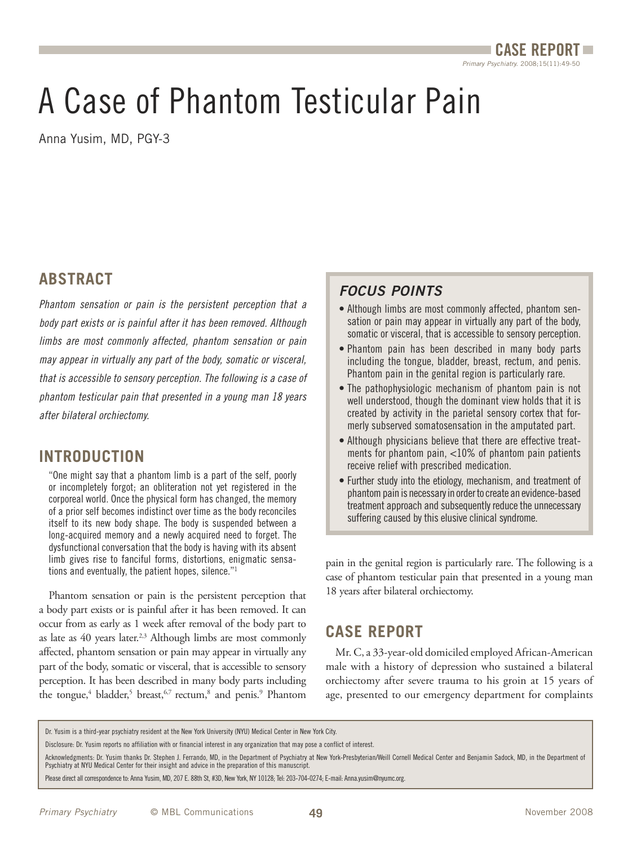# A Case of Phantom Testicular Pain

Anna Yusim, MD, PGY-3

#### **ABSTRACT**

Phantom sensation or pain is the persistent perception that a body part exists or is painful after it has been removed. Although limbs are most commonly affected, phantom sensation or pain may appear in virtually any part of the body, somatic or visceral, that is accessible to sensory perception. The following is a case of phantom testicular pain that presented in a young man 18 years after bilateral orchiectomy.

## **INTRODUCTION**

"One might say that a phantom limb is a part of the self, poorly or incompletely forgot; an obliteration not yet registered in the corporeal world. Once the physical form has changed, the memory of a prior self becomes indistinct over time as the body reconciles itself to its new body shape. The body is suspended between a long-acquired memory and a newly acquired need to forget. The dysfunctional conversation that the body is having with its absent limb gives rise to fanciful forms, distortions, enigmatic sensations and eventually, the patient hopes, silence."1

Phantom sensation or pain is the persistent perception that a body part exists or is painful after it has been removed. It can occur from as early as 1 week after removal of the body part to as late as 40 years later.<sup>2,3</sup> Although limbs are most commonly affected, phantom sensation or pain may appear in virtually any part of the body, somatic or visceral, that is accessible to sensory perception. It has been described in many body parts including the tongue,<sup>4</sup> bladder,<sup>5</sup> breast,<sup>6,7</sup> rectum,<sup>8</sup> and penis.<sup>9</sup> Phantom

### **FOCUS POINTS**

- Although limbs are most commonly affected, phantom sensation or pain may appear in virtually any part of the body, somatic or visceral, that is accessible to sensory perception.
- Phantom pain has been described in many body parts including the tongue, bladder, breast, rectum, and penis. Phantom pain in the genital region is particularly rare.
- The pathophysiologic mechanism of phantom pain is not well understood, though the dominant view holds that it is created by activity in the parietal sensory cortex that formerly subserved somatosensation in the amputated part.
- Although physicians believe that there are effective treatments for phantom pain, <10% of phantom pain patients receive relief with prescribed medication.
- Further study into the etiology, mechanism, and treatment of phantom pain is necessary in order to create an evidence-based treatment approach and subsequently reduce the unnecessary suffering caused by this elusive clinical syndrome.

pain in the genital region is particularly rare. The following is a case of phantom testicular pain that presented in a young man 18 years after bilateral orchiectomy.

## **CASE REPORT**

Mr. C, a 33-year-old domiciled employed African-American male with a history of depression who sustained a bilateral orchiectomy after severe trauma to his groin at 15 years of age, presented to our emergency department for complaints

Dr. Yusim is a third-year psychiatry resident at the New York University (NYU) Medical Center in New York City.

Disclosure: Dr. Yusim reports no affiliation with or financial interest in any organization that may pose a conflict of interest.

Acknowledgments: Dr. Yusim thanks Dr. Stephen J. Ferrando, MD, in the Department of Psychiatry at New York-Presbyterian/Weill Cornell Medical Center and Benjamin Sadock, MD, in the Department of Psychiatry at NYU Medical Center for their insight and advice in the preparation of this manuscript.

Please direct all correspondence to: Anna Yusim, MD, 207 E. 88th St, #3D, New York, NY 10128; Tel: 203-704-0274; E-mail: Anna.yusim@nyumc.org.